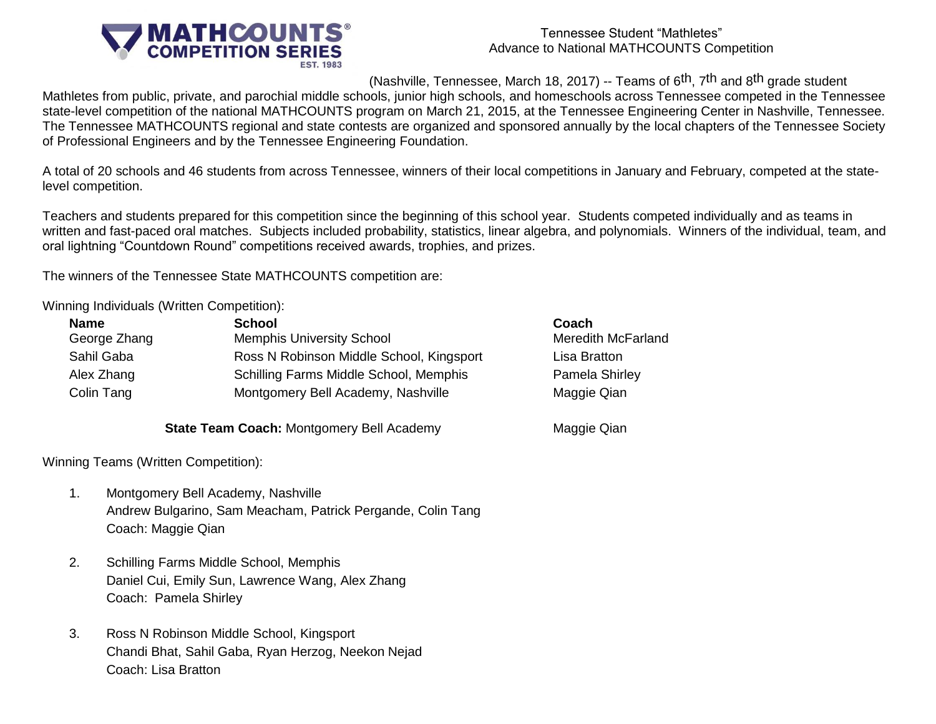

#### Tennessee Student "Mathletes" Advance to National MATHCOUNTS Competition

(Nashville, Tennessee, March 18, 2017) -- Teams of  $6<sup>th</sup>$ , 7<sup>th</sup> and  $8<sup>th</sup>$  grade student

Mathletes from public, private, and parochial middle schools, junior high schools, and homeschools across Tennessee competed in the Tennessee state-level competition of the national MATHCOUNTS program on March 21, 2015, at the Tennessee Engineering Center in Nashville, Tennessee. The Tennessee MATHCOUNTS regional and state contests are organized and sponsored annually by the local chapters of the Tennessee Society of Professional Engineers and by the Tennessee Engineering Foundation.

A total of 20 schools and 46 students from across Tennessee, winners of their local competitions in January and February, competed at the statelevel competition.

Teachers and students prepared for this competition since the beginning of this school year. Students competed individually and as teams in written and fast-paced oral matches. Subjects included probability, statistics, linear algebra, and polynomials. Winners of the individual, team, and oral lightning "Countdown Round" competitions received awards, trophies, and prizes.

The winners of the Tennessee State MATHCOUNTS competition are:

Winning Individuals (Written Competition):

| <b>Name</b>  | <b>School</b>                            | Coach                     |
|--------------|------------------------------------------|---------------------------|
| George Zhang | <b>Memphis University School</b>         | <b>Meredith McFarland</b> |
| Sahil Gaba   | Ross N Robinson Middle School, Kingsport | Lisa Bratton              |
| Alex Zhang   | Schilling Farms Middle School, Memphis   | Pamela Shirley            |
| Colin Tang   | Montgomery Bell Academy, Nashville       | Maggie Qian               |

**State Team Coach:** Montgomery Bell Academy Maggie Qian

Winning Teams (Written Competition):

- 1. Montgomery Bell Academy, Nashville Andrew Bulgarino, Sam Meacham, Patrick Pergande, Colin Tang Coach: Maggie Qian
- 2. Schilling Farms Middle School, Memphis Daniel Cui, Emily Sun, Lawrence Wang, Alex Zhang Coach: Pamela Shirley
- 3. Ross N Robinson Middle School, Kingsport Chandi Bhat, Sahil Gaba, Ryan Herzog, Neekon Nejad Coach: Lisa Bratton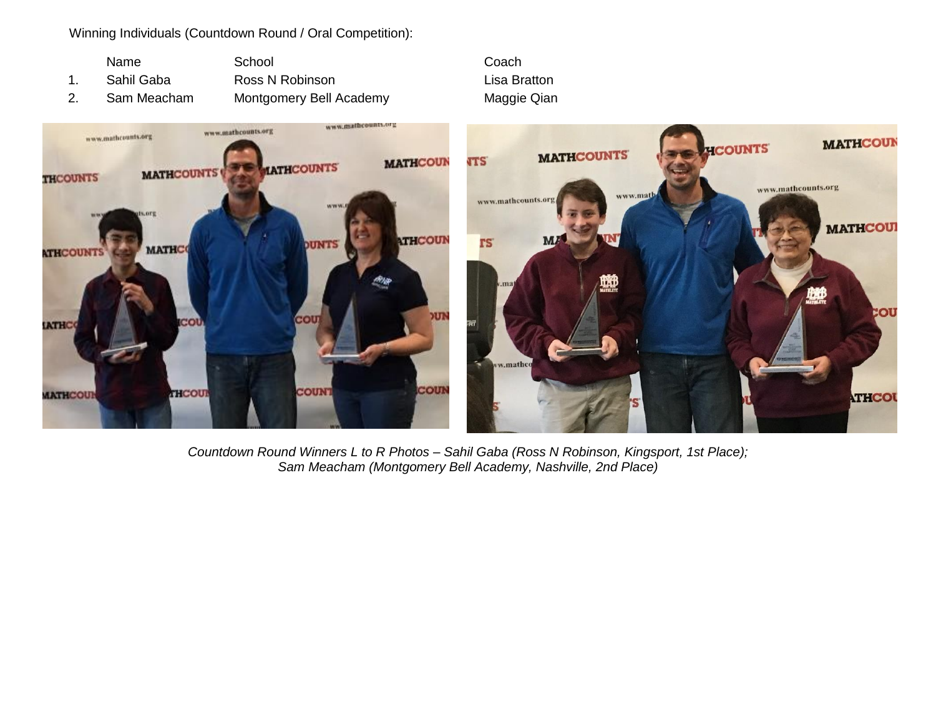Winning Individuals (Countdown Round / Oral Competition):

| <b>Name</b> | School                  | Coach  |
|-------------|-------------------------|--------|
| Sahil Gaba  | Ross N Robinson         | Lisa B |
| Sam Meacham | Montgomery Bell Academy | Maggi  |

Lisa Bratton Maggie Qian



*Countdown Round Winners L to R Photos – Sahil Gaba (Ross N Robinson, Kingsport, 1st Place); Sam Meacham (Montgomery Bell Academy, Nashville, 2nd Place)*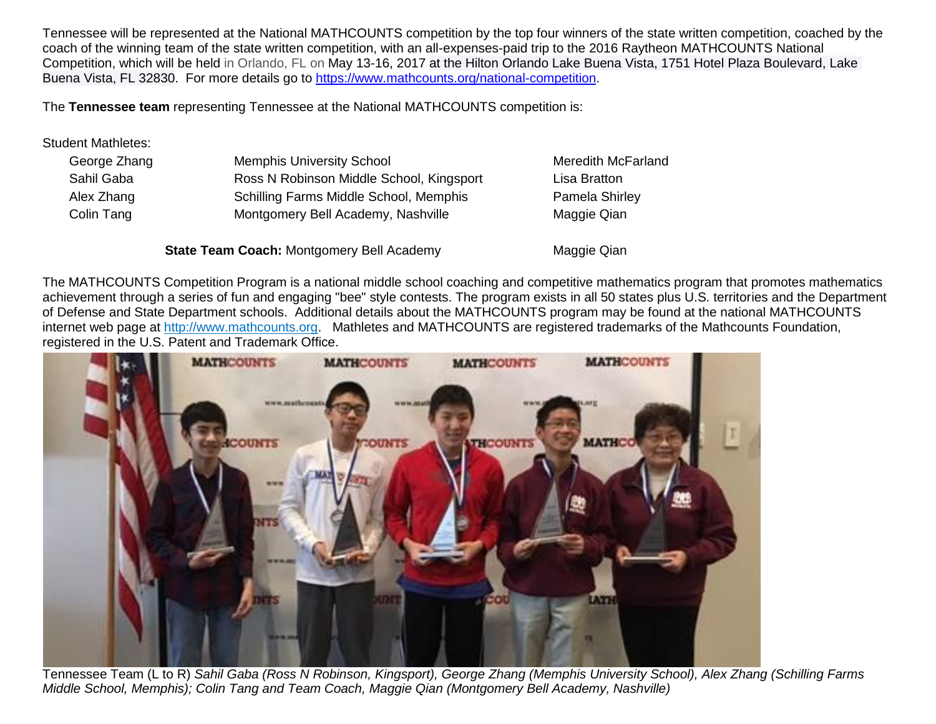Tennessee will be represented at the National MATHCOUNTS competition by the top four winners of the state written competition, coached by the coach of the winning team of the state written competition, with an all-expenses-paid trip to the 2016 Raytheon MATHCOUNTS National Competition, which will be held in Orlando, FL on May 13-16, 2017 at the Hilton Orlando Lake Buena Vista, 1751 Hotel Plaza Boulevard, Lake Buena Vista, FL 32830. For more details go to [https://www.mathcounts.org/national-competition.](https://www.mathcounts.org/national-competition)

The **Tennessee team** representing Tennessee at the National MATHCOUNTS competition is:

### Student Mathletes:

| George Zhang | <b>Memphis University School</b>          | <b>Meredith McFarland</b> |
|--------------|-------------------------------------------|---------------------------|
| Sahil Gaba   | Ross N Robinson Middle School, Kingsport  | Lisa Bratton              |
| Alex Zhang   | Schilling Farms Middle School, Memphis    | Pamela Shirley            |
| Colin Tang   | Montgomery Bell Academy, Nashville        | Maggie Qian               |
|              | State Team Coach: Montgomery Bell Academy | Maggie Qian               |

The MATHCOUNTS Competition Program is a national middle school coaching and competitive mathematics program that promotes mathematics achievement through a series of fun and engaging "bee" style contests. The program exists in all 50 states plus U.S. territories and the Department of Defense and State Department schools. Additional details about the MATHCOUNTS program may be found at the national MATHCOUNTS internet web page at [http://www.mathcounts.org.](http://www.mathcounts.org/) Mathletes and MATHCOUNTS are registered trademarks of the Mathcounts Foundation, registered in the U.S. Patent and Trademark Office.

![](_page_2_Picture_5.jpeg)

Tennessee Team (L to R) *Sahil Gaba (Ross N Robinson, Kingsport), George Zhang (Memphis University School), Alex Zhang (Schilling Farms Middle School, Memphis); Colin Tang and Team Coach, Maggie Qian (Montgomery Bell Academy, Nashville)*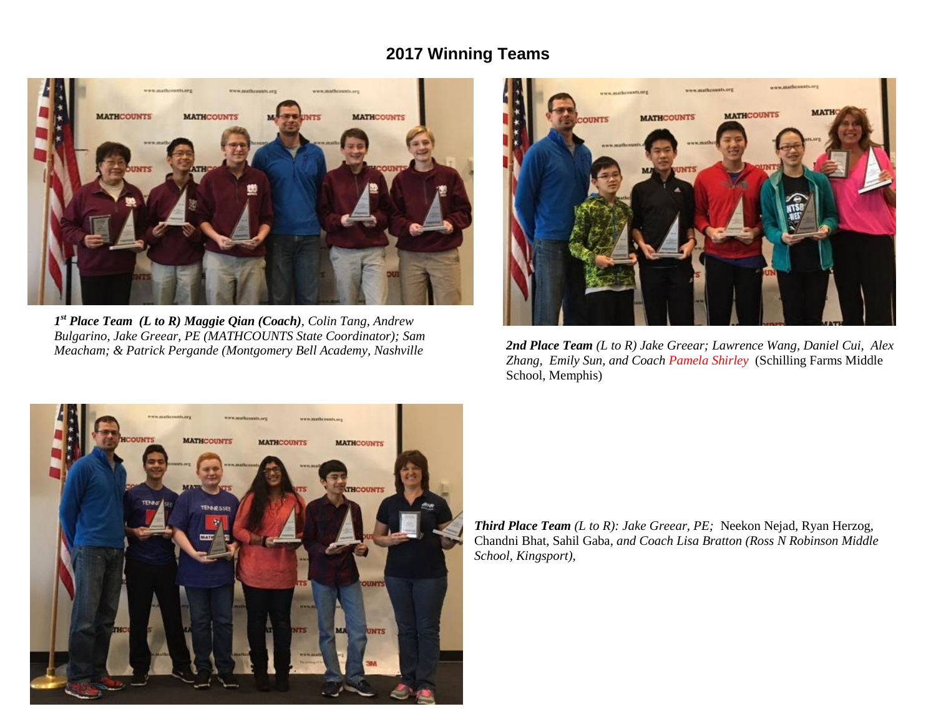## **2017 Winning Teams**

![](_page_3_Picture_1.jpeg)

*1 st Place Team (L to R) Maggie Qian (Coach), Colin Tang, Andrew Bulgarino, Jake Greear, PE (MATHCOUNTS State Coordinator); Sam Meacham; & Patrick Pergande (Montgomery Bell Academy, Nashville*

![](_page_3_Picture_3.jpeg)

*2nd Place Team (L to R) Jake Greear; Lawrence Wang, Daniel Cui, Alex Zhang, Emily Sun, and Coach Pamela Shirley* (Schilling Farms Middle School, Memphis)

![](_page_3_Picture_5.jpeg)

*Third Place Team (L to R): Jake Greear, PE;* Neekon Nejad, Ryan Herzog, Chandni Bhat, Sahil Gaba*, and Coach Lisa Bratton (Ross N Robinson Middle School, Kingsport),*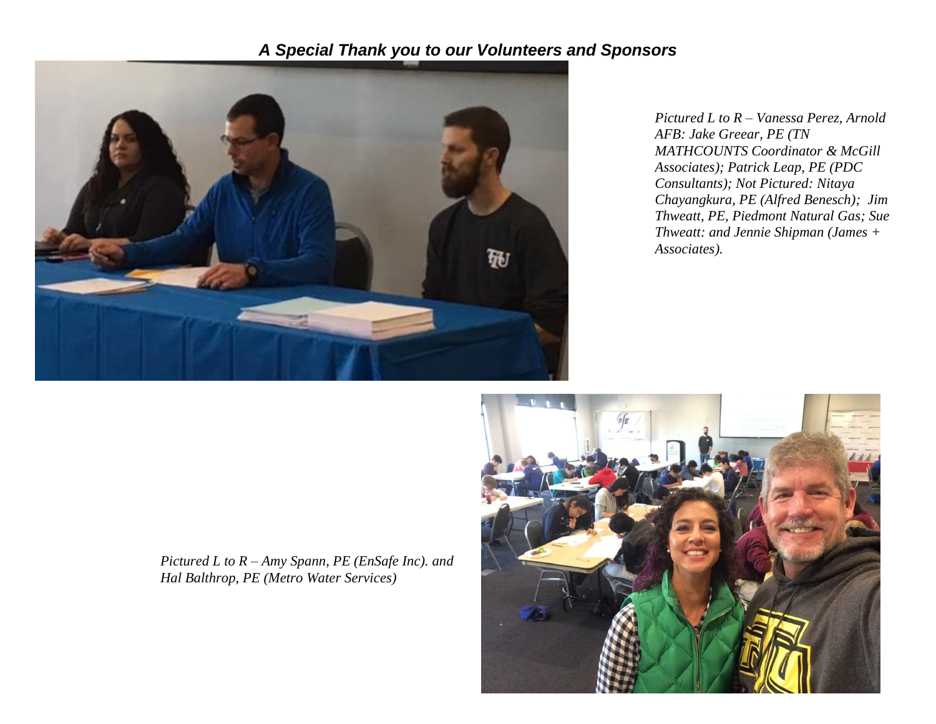# *A Special Thank you to our Volunteers and Sponsors*

![](_page_4_Picture_1.jpeg)

*Pictured L to R – Vanessa Perez, Arnold AFB: Jake Greear, PE (TN MATHCOUNTS Coordinator & McGill Associates); Patrick Leap, PE (PDC Consultants); Not Pictured: Nitaya Chayangkura, PE (Alfred Benesch); Jim Thweatt, PE, Piedmont Natural Gas; Sue Thweatt: and Jennie Shipman (James + Associates).*

*Pictured L to R – Amy Spann, PE (EnSafe Inc). and Hal Balthrop, PE (Metro Water Services)*

![](_page_4_Picture_4.jpeg)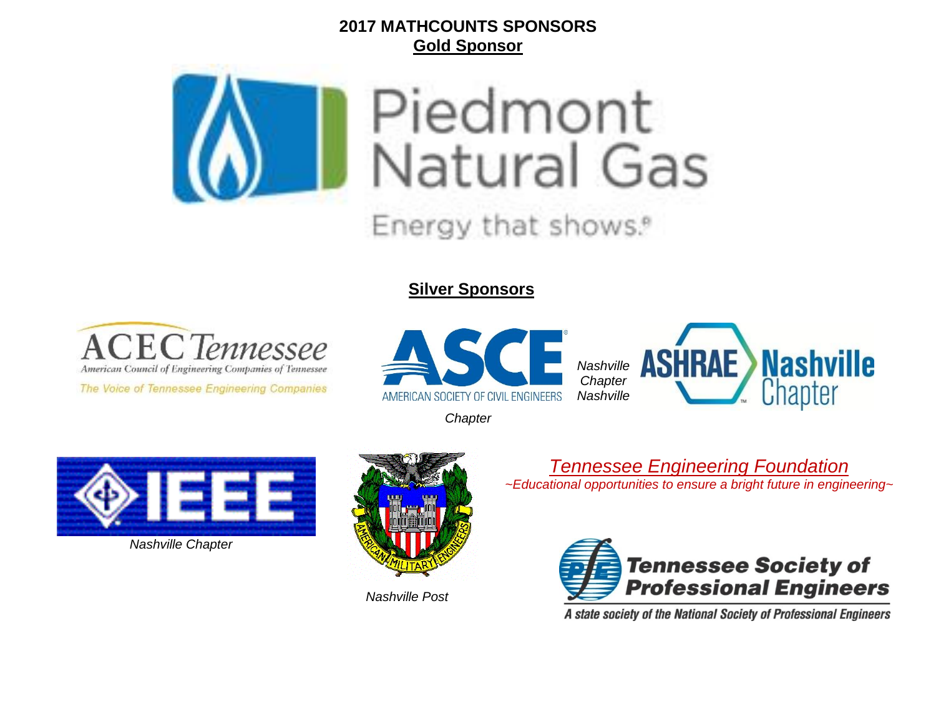## **2017 MATHCOUNTS SPONSORS Gold Sponsor**

![](_page_5_Picture_1.jpeg)

**Silver Sponsors**

![](_page_5_Picture_3.jpeg)

The Voice of Tennessee Engineering Companies

![](_page_5_Picture_5.jpeg)

![](_page_5_Picture_6.jpeg)

*Chapter*

![](_page_5_Picture_8.jpeg)

*Nashville Chapter*

![](_page_5_Picture_10.jpeg)

*Nashville Post*

*Tennessee Engineering Foundation ~Educational opportunities to ensure a bright future in engineering~*

![](_page_5_Picture_13.jpeg)

A state society of the National Society of Professional Engineers